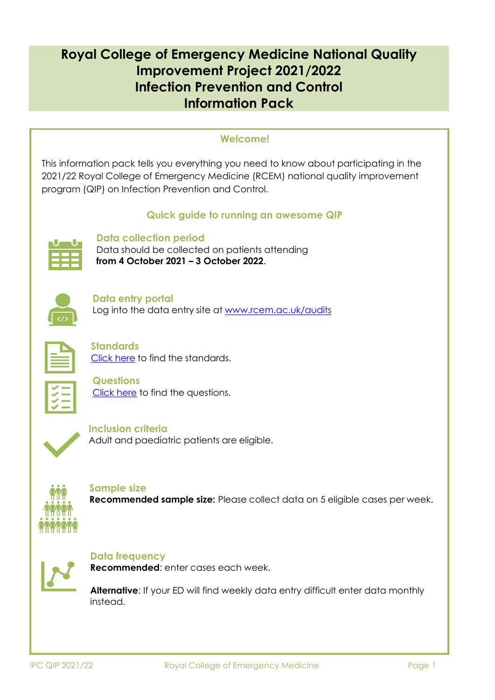# **Royal College of Emergency Medicine National Quality Improvement Project 2021/2022 Infection Prevention and Control Information Pack**

## **Welcome!**

This information pack tells you everything you need to know about participating in the 2021/22 Royal College of Emergency Medicine (RCEM) national quality improvement program (QIP) on Infection Prevention and Control.

## **Quick guide to running an awesome QIP**



## **Data collection period**

Data should be collected on patients attending **from 4 October 2021 – 3 October 2022**.

| <75 |  |
|-----|--|

**Data entry portal** Log into the data entry site at [www.rcem.ac.uk/audits](http://www.rcem.ac.uk/audits)



**Standards** [Click](#page-11-0) here to find the standards.



**Questions** [Click](#page-11-0) here to find the questions.



**Inclusion criteria** Adult and paediatric patients are eligible.



**Sample size Recommended sample size:** Please collect data on 5 eligible cases per week.



**Data frequency**

**Recommended**: enter cases each week.

**Alternative**: If your ED will find weekly data entry difficult enter data monthly instead.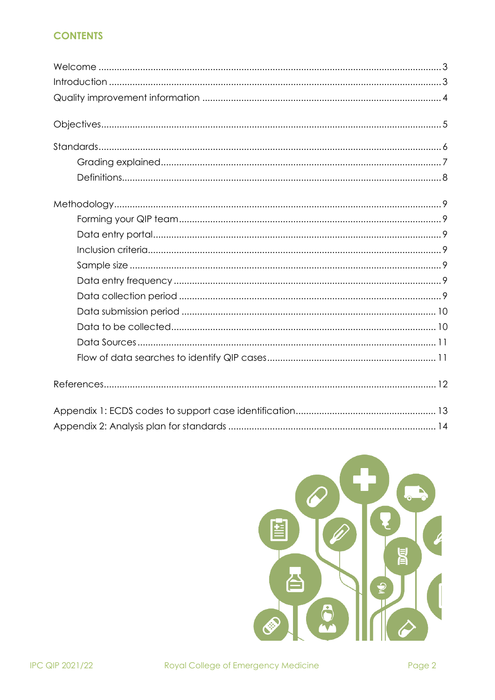## **CONTENTS**

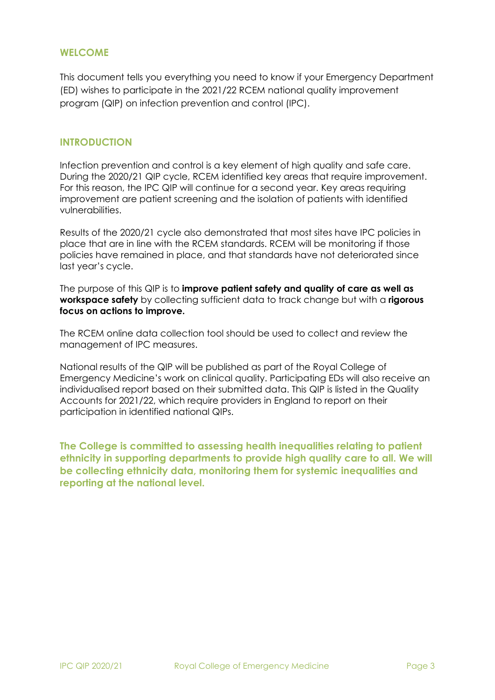### <span id="page-2-0"></span>**WELCOME**

This document tells you everything you need to know if your Emergency Department (ED) wishes to participate in the 2021/22 RCEM national quality improvement program (QIP) on infection prevention and control (IPC).

## <span id="page-2-1"></span>**INTRODUCTION**

Infection prevention and control is a key element of high quality and safe care. During the 2020/21 QIP cycle, RCEM identified key areas that require improvement. For this reason, the IPC QIP will continue for a second year. Key areas requiring improvement are patient screening and the isolation of patients with identified vulnerabilities.

Results of the 2020/21 cycle also demonstrated that most sites have IPC policies in place that are in line with the RCEM standards. RCEM will be monitoring if those policies have remained in place, and that standards have not deteriorated since last year's cycle.

The purpose of this QIP is to **improve patient safety and quality of care as well as workspace safety** by collecting sufficient data to track change but with a **rigorous focus on actions to improve.**

The RCEM online data collection tool should be used to collect and review the management of IPC measures.

National results of the QIP will be published as part of the Royal College of Emergency Medicine's work on clinical quality. Participating EDs will also receive an individualised report based on their submitted data. This QIP is listed in the Quality Accounts for 2021/22, which require providers in England to report on their participation in identified national QIPs.

**The College is committed to assessing health inequalities relating to patient ethnicity in supporting departments to provide high quality care to all. We will be collecting ethnicity data, monitoring them for systemic inequalities and reporting at the national level.**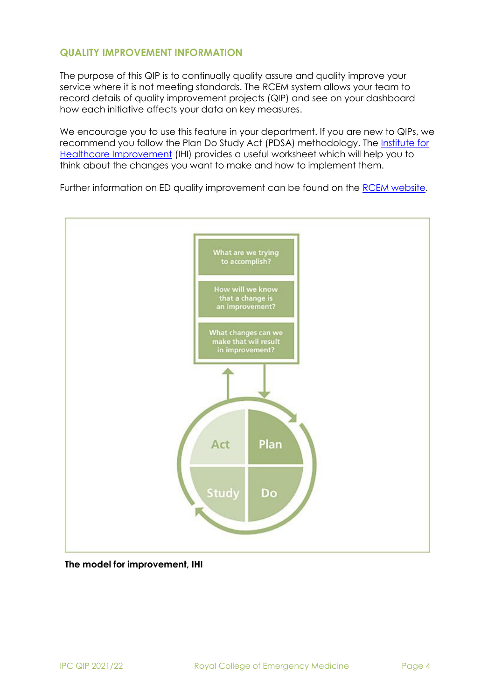## <span id="page-3-0"></span>**QUALITY IMPROVEMENT INFORMATION**

The purpose of this QIP is to continually quality assure and quality improve your service where it is not meeting standards. The RCEM system allows your team to record details of quality improvement projects (QIP) and see on your dashboard how each initiative affects your data on key measures.

We encourage you to use this feature in your department. If you are new to QIPs, we recommend you follow the Plan Do Study Act (PDSA) methodology. The [Institute for](http://www.ihi.org/resources/Pages/Tools/PlanDoStudyActWorksheet.aspx) Healthcare [Improvement](http://www.ihi.org/resources/Pages/Tools/PlanDoStudyActWorksheet.aspx) (IHI) provides a useful worksheet which will help you to think about the changes you want to make and how to implement them.

Further information on ED quality improvement can be found on the RCEM [website.](https://www.rcem.ac.uk/RCEM/Quality_Policy/Quality_Improvement_Clinical_Audit/QI_Resources/RCEM/Quality-Policy/Quality_Improvement_Clinical_Audit/QI_Resources.aspx?hkey=e014f99c-14a8-4010-8bd2-a6abd2a7b626)



#### **The model for improvement, IHI**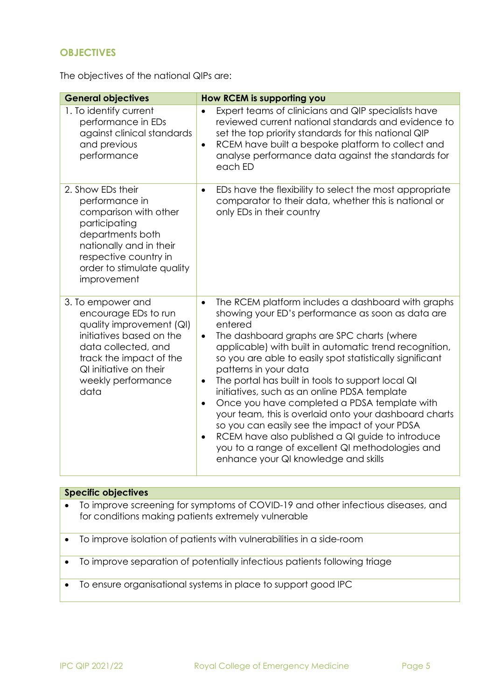## <span id="page-4-0"></span>**OBJECTIVES**

The objectives of the national QIPs are:

| <b>General objectives</b>                                                                                                                                                                                   | How RCEM is supporting you                                                                                                                                                                                                                                                                                                                                                                                                                                                                                                                                                                                                                                                                                                                                                          |
|-------------------------------------------------------------------------------------------------------------------------------------------------------------------------------------------------------------|-------------------------------------------------------------------------------------------------------------------------------------------------------------------------------------------------------------------------------------------------------------------------------------------------------------------------------------------------------------------------------------------------------------------------------------------------------------------------------------------------------------------------------------------------------------------------------------------------------------------------------------------------------------------------------------------------------------------------------------------------------------------------------------|
| 1. To identify current<br>performance in EDs<br>against clinical standards<br>and previous<br>performance                                                                                                   | Expert teams of clinicians and QIP specialists have<br>reviewed current national standards and evidence to<br>set the top priority standards for this national QIP<br>RCEM have built a bespoke platform to collect and<br>$\bullet$<br>analyse performance data against the standards for<br>each ED                                                                                                                                                                                                                                                                                                                                                                                                                                                                               |
| 2. Show EDs their<br>performance in<br>comparison with other<br>participating<br>departments both<br>nationally and in their<br>respective country in<br>order to stimulate quality<br>improvement          | EDs have the flexibility to select the most appropriate<br>$\bullet$<br>comparator to their data, whether this is national or<br>only EDs in their country                                                                                                                                                                                                                                                                                                                                                                                                                                                                                                                                                                                                                          |
| 3. To empower and<br>encourage EDs to run<br>quality improvement (QI)<br>initiatives based on the<br>data collected, and<br>track the impact of the<br>QI initiative on their<br>weekly performance<br>data | The RCEM platform includes a dashboard with graphs<br>$\bullet$<br>showing your ED's performance as soon as data are<br>entered<br>The dashboard graphs are SPC charts (where<br>$\bullet$<br>applicable) with built in automatic trend recognition,<br>so you are able to easily spot statistically significant<br>patterns in your data<br>The portal has built in tools to support local QI<br>initiatives, such as an online PDSA template<br>Once you have completed a PDSA template with<br>$\bullet$<br>your team, this is overlaid onto your dashboard charts<br>so you can easily see the impact of your PDSA<br>RCEM have also published a QI guide to introduce<br>$\bullet$<br>you to a range of excellent QI methodologies and<br>enhance your QI knowledge and skills |

## **Specific objectives**

| $\bullet$ | To improve screening for symptoms of COVID-19 and other infectious diseases, and<br>for conditions making patients extremely vulnerable |
|-----------|-----------------------------------------------------------------------------------------------------------------------------------------|
|           | • To improve isolation of patients with vulnerabilities in a side-room                                                                  |
| $\bullet$ | To improve separation of potentially infectious patients following triage                                                               |
| $\bullet$ | To ensure organisational systems in place to support good IPC                                                                           |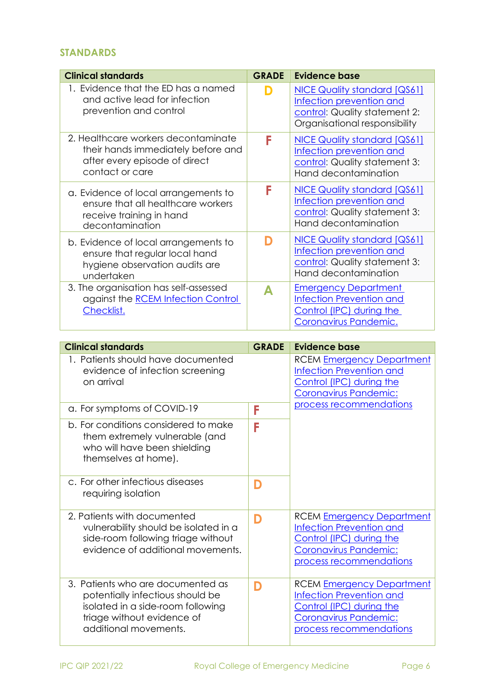## <span id="page-5-0"></span>**STANDARDS**

| <b>Clinical standards</b>                                                                                                                                         | <b>GRADE</b> | <b>Evidence base</b>                                                                                                                                |
|-------------------------------------------------------------------------------------------------------------------------------------------------------------------|--------------|-----------------------------------------------------------------------------------------------------------------------------------------------------|
| 1. Evidence that the ED has a named<br>and active lead for infection<br>prevention and control                                                                    | D            | <b>NICE Quality standard [QS61]</b><br>Infection prevention and<br>control: Quality statement 2:<br>Organisational responsibility                   |
| 2. Healthcare workers decontaminate<br>their hands immediately before and<br>after every episode of direct<br>contact or care                                     | F            | <b>NICE Quality standard [QS61]</b><br>Infection prevention and<br>control: Quality statement 3:<br>Hand decontamination                            |
| a. Evidence of local arrangements to<br>ensure that all healthcare workers<br>receive training in hand<br>decontamination                                         | F            | <b>NICE Quality standard [QS61]</b><br>Infection prevention and<br>control: Quality statement 3:<br>Hand decontamination                            |
| b. Evidence of local arrangements to<br>ensure that regular local hand<br>hygiene observation audits are<br>undertaken                                            | D            | NICE Quality standard [QS61]<br>Infection prevention and<br>control: Quality statement 3:<br>Hand decontamination                                   |
| 3. The organisation has self-assessed<br>against the <b>RCEM</b> Infection Control<br>Checklist.                                                                  | A            | <b>Emergency Department</b><br><b>Infection Prevention and</b><br>Control (IPC) during the<br>Coronavirus Pandemic.                                 |
| <b>Clinical standards</b>                                                                                                                                         | <b>GRADE</b> | <b>Evidence base</b>                                                                                                                                |
| 1. Patients should have documented<br>evidence of infection screening<br>on arrival                                                                               |              | <b>RCEM Emergency Department</b><br><b>Infection Prevention and</b><br>Control (IPC) during the<br>Coronavirus Pandemic:                            |
| a. For symptoms of COVID-19                                                                                                                                       | F            | process recommendations                                                                                                                             |
| b. For conditions considered to make<br>them extremely vulnerable (and<br>who will have been shielding<br>themselves at home).                                    | F            |                                                                                                                                                     |
| c. For other infectious diseases<br>requiring isolation                                                                                                           | D            |                                                                                                                                                     |
| 2. Patients with documented<br>vulnerability should be isolated in a<br>side-room following triage without<br>evidence of additional movements.                   | D            | <b>RCEM Emergency Department</b><br><b>Infection Prevention and</b><br>Control (IPC) during the<br>Coronavirus Pandemic:<br>process recommendations |
| 3. Patients who are documented as<br>potentially infectious should be<br>isolated in a side-room following<br>triage without evidence of<br>additional movements. | D            | <b>RCEM Emergency Department</b><br><b>Infection Prevention and</b><br>Control (IPC) during the<br>Coronavirus Pandemic:<br>process recommendations |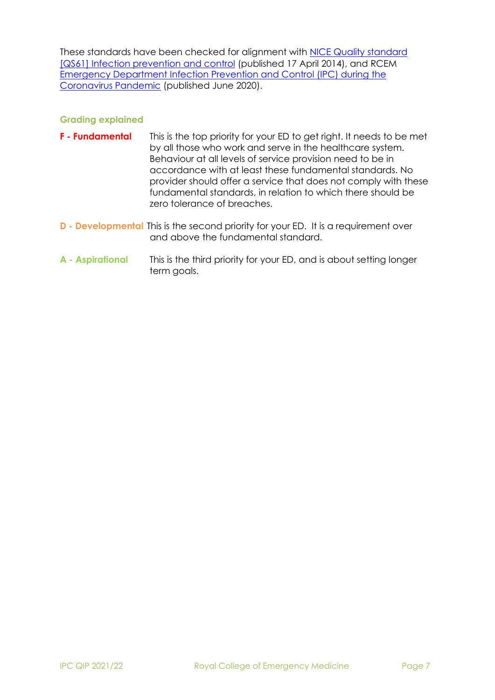These standards have been checked for alignment with [NICE Quality standard](https://www.nice.org.uk/guidance/qs61) [\[QS61\] Infection prevention and control](https://www.nice.org.uk/guidance/qs61) (published 17 April 2014), and RCEM [Emergency Department Infection Prevention and Control \(IPC\) during the](https://www.rcem.ac.uk/docs/RCEM%20Guidance/RCEM%20Guideline%20COVID%20IPC%20(Feb%202021).pdf) [Coronavirus](https://www.rcem.ac.uk/docs/RCEM%20Guidance/RCEM%20Guideline%20COVID%20IPC%20(Feb%202021).pdf) Pandemic (published June 2020).

### **Grading explained**

- **F - Fundamental** This is the top priority for your ED to get right. It needs to be met by all those who work and serve in the healthcare system. Behaviour at all levels of service provision need to be in accordance with at least these fundamental standards. No provider should offer a service that does not comply with these fundamental standards, in relation to which there should be zero tolerance of breaches.
- **D - Developmental** This is the second priority for your ED. It is a requirement over and above the fundamental standard.
- **A - Aspirational** This is the third priority for your ED, and is about setting longer term goals.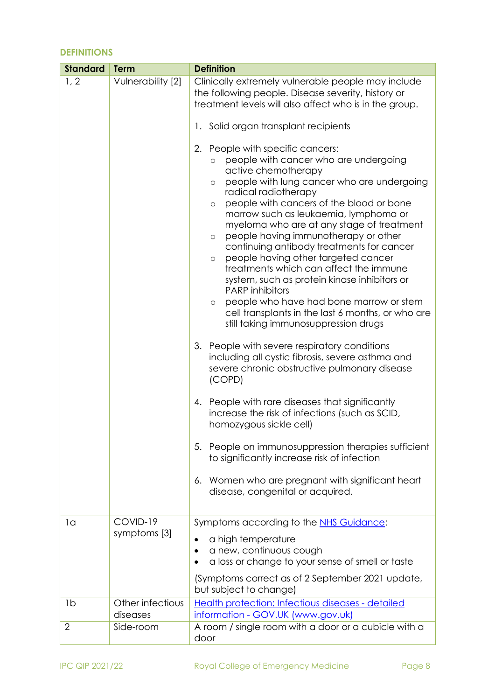## **DEFINITIONS**

| 1, 2<br>Vulnerability [2]<br>1. Solid organ transplant recipients<br>People with specific cancers:<br>2.<br>$\circ$<br>active chemotherapy<br>$\circ$<br>radical radiotherapy<br>$\circ$<br>$\circ$<br>people having other targeted cancer<br>$\circ$<br><b>PARP</b> inhibitors<br>$\circ$<br>still taking immunosuppression drugs<br>3.<br>People with severe respiratory conditions<br>(COPD)<br>4. People with rare diseases that significantly<br>homozygous sickle cell)<br>5.<br>to significantly increase risk of infection<br>6.<br>disease, congenital or acquired.<br>COVID-19<br>1 <sub>a</sub><br>Symptoms according to the NHS Guidance:<br>symptoms [3]<br>a high temperature<br>a new, continuous cough<br>but subject to change) | <b>Standard</b> | <b>Term</b> | <b>Definition</b>                                                                                                                                                                                                                                                                                                                                                                                                                                                                                                                                                                                                                                                                                                                                                                                                                                                                                                                                                                         |  |
|--------------------------------------------------------------------------------------------------------------------------------------------------------------------------------------------------------------------------------------------------------------------------------------------------------------------------------------------------------------------------------------------------------------------------------------------------------------------------------------------------------------------------------------------------------------------------------------------------------------------------------------------------------------------------------------------------------------------------------------------------|-----------------|-------------|-------------------------------------------------------------------------------------------------------------------------------------------------------------------------------------------------------------------------------------------------------------------------------------------------------------------------------------------------------------------------------------------------------------------------------------------------------------------------------------------------------------------------------------------------------------------------------------------------------------------------------------------------------------------------------------------------------------------------------------------------------------------------------------------------------------------------------------------------------------------------------------------------------------------------------------------------------------------------------------------|--|
|                                                                                                                                                                                                                                                                                                                                                                                                                                                                                                                                                                                                                                                                                                                                                  |                 |             | Clinically extremely vulnerable people may include<br>the following people. Disease severity, history or<br>treatment levels will also affect who is in the group.<br>people with cancer who are undergoing<br>people with lung cancer who are undergoing<br>people with cancers of the blood or bone<br>marrow such as leukaemia, lymphoma or<br>myeloma who are at any stage of treatment<br>people having immunotherapy or other<br>continuing antibody treatments for cancer<br>treatments which can affect the immune<br>system, such as protein kinase inhibitors or<br>people who have had bone marrow or stem<br>cell transplants in the last 6 months, or who are<br>including all cystic fibrosis, severe asthma and<br>severe chronic obstructive pulmonary disease<br>increase the risk of infections (such as SCID,<br>People on immunosuppression therapies sufficient<br>Women who are pregnant with significant heart<br>a loss or change to your sense of smell or taste |  |
|                                                                                                                                                                                                                                                                                                                                                                                                                                                                                                                                                                                                                                                                                                                                                  |                 |             | (Symptoms correct as of 2 September 2021 update,                                                                                                                                                                                                                                                                                                                                                                                                                                                                                                                                                                                                                                                                                                                                                                                                                                                                                                                                          |  |
| Other infectious<br>1 <sub>b</sub><br>diseases<br>information - GOV.UK (www.gov.uk)                                                                                                                                                                                                                                                                                                                                                                                                                                                                                                                                                                                                                                                              |                 |             | Health protection: Infectious diseases - detailed                                                                                                                                                                                                                                                                                                                                                                                                                                                                                                                                                                                                                                                                                                                                                                                                                                                                                                                                         |  |
| $\overline{2}$<br>Side-room<br>door                                                                                                                                                                                                                                                                                                                                                                                                                                                                                                                                                                                                                                                                                                              |                 |             | A room / single room with a door or a cubicle with a                                                                                                                                                                                                                                                                                                                                                                                                                                                                                                                                                                                                                                                                                                                                                                                                                                                                                                                                      |  |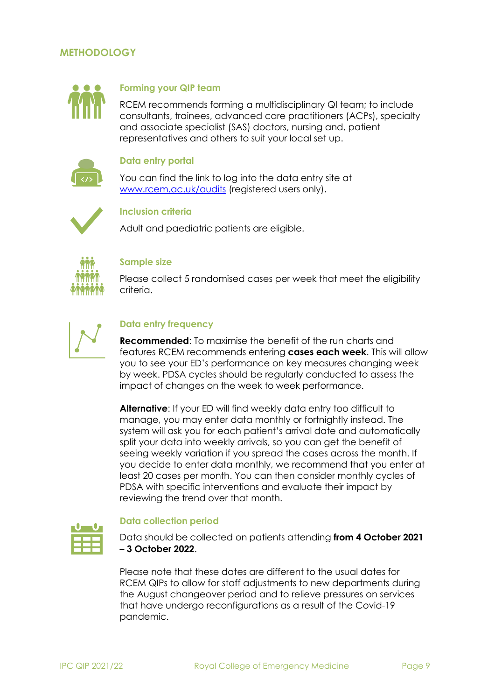## **METHODOLOGY**



#### <span id="page-8-0"></span>**Forming your QIP team**

RCEM recommends forming a multidisciplinary QI team; to include consultants, trainees, advanced care practitioners (ACPs), specialty and associate specialist (SAS) doctors, nursing and, patient representatives and others to suit your local set up.

#### **Data entry portal**

You can find the link to log into the data entry site at [www.rcem.ac.uk/audits](http://www.rcem.ac.uk/audits) (registered users only).

<span id="page-8-1"></span>

#### <span id="page-8-2"></span>**Inclusion criteria**

Adult and paediatric patients are eligible.



#### <span id="page-8-3"></span>**Sample size**

Please collect 5 randomised cases per week that meet the eligibility criteria.



## <span id="page-8-4"></span>**Data entry frequency**

**Recommended**: To maximise the benefit of the run charts and features RCEM recommends entering **cases each week**. This will allow you to see your ED's performance on key measures changing week by week. PDSA cycles should be regularly conducted to assess the impact of changes on the week to week performance.

**Alternative**: If your ED will find weekly data entry too difficult to manage, you may enter data monthly or fortnightly instead. The system will ask you for each patient's arrival date and automatically split your data into weekly arrivals, so you can get the benefit of seeing weekly variation if you spread the cases across the month. If you decide to enter data monthly, we recommend that you enter at least 20 cases per month. You can then consider monthly cycles of PDSA with specific interventions and evaluate their impact by reviewing the trend over that month.

<span id="page-8-5"></span>

#### **Data collection period**

Data should be collected on patients attending **from 4 October 2021 – 3 October 2022**.

Please note that these dates are different to the usual dates for RCEM QIPs to allow for staff adjustments to new departments during the August changeover period and to relieve pressures on services that have undergo reconfigurations as a result of the Covid-19 pandemic.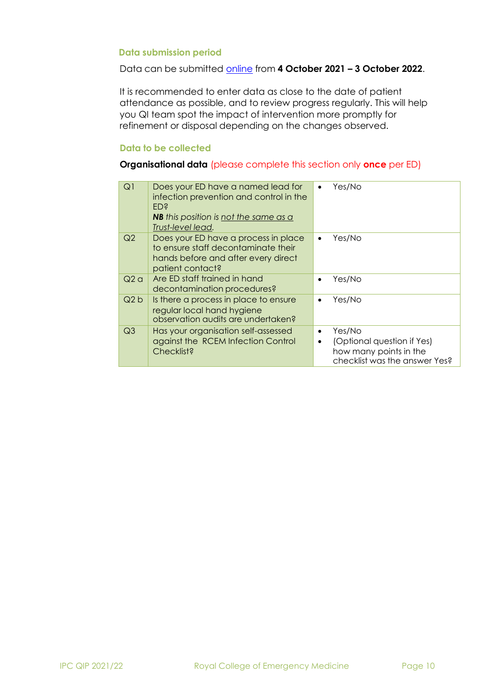#### <span id="page-9-0"></span>**Data submission period**

#### Data can be submitted [online](https://audit.rcem.ac.uk/pages/home) from **4 October 2021 – 3 October 2022**.

It is recommended to enter data as close to the date of patient attendance as possible, and to review progress regularly. This will help you QI team spot the impact of intervention more promptly for refinement or disposal depending on the changes observed.

#### <span id="page-9-1"></span>**Data to be collected**

#### **Organisational data** (please complete this section only **once** per ED)

| Q1             | Does your ED have a named lead for<br>infection prevention and control in the<br>ED <sup>§</sup><br><b>NB</b> this position is <u>not the same as a</u><br>Trust-level lead. | $\bullet$              | Yes/No                                                                                          |
|----------------|------------------------------------------------------------------------------------------------------------------------------------------------------------------------------|------------------------|-------------------------------------------------------------------------------------------------|
| Q2             | Does your ED have a process in place<br>to ensure staff decontaminate their<br>hands before and after every direct<br>patient contact?                                       | $\bullet$              | Yes/No                                                                                          |
| Q2a            | Are ED staff trained in hand<br>decontamination procedures?                                                                                                                  |                        | Yes/No                                                                                          |
| Q2b            | Is there a process in place to ensure<br>regular local hand hygiene<br>observation audits are undertaken?                                                                    | ٠                      | Yes/No                                                                                          |
| Q <sub>3</sub> | Has your organisation self-assessed<br>against the RCEM Infection Control<br>Checklist?                                                                                      | $\bullet$<br>$\bullet$ | Yes/No<br>(Optional question if Yes)<br>how many points in the<br>checklist was the answer Yes? |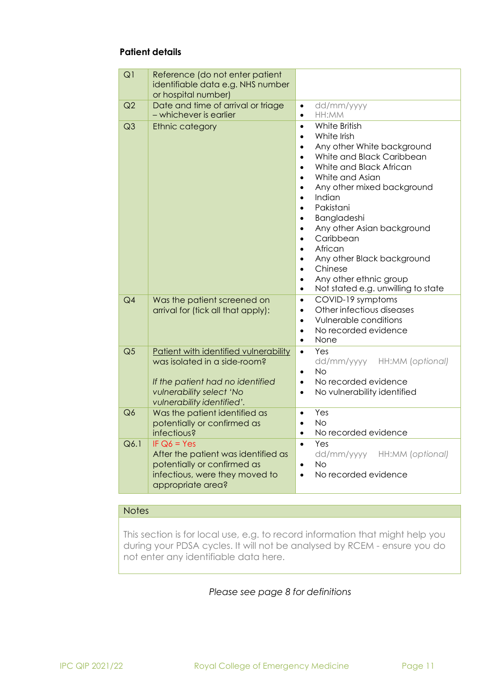### **Patient details**

| Q1             | Reference (do not enter patient<br>identifiable data e.g. NHS number<br>or hospital number)                                                                         |                                                                                                                                                                                                                                                                                                                                                                                                                                                                                                                                                                                                       |
|----------------|---------------------------------------------------------------------------------------------------------------------------------------------------------------------|-------------------------------------------------------------------------------------------------------------------------------------------------------------------------------------------------------------------------------------------------------------------------------------------------------------------------------------------------------------------------------------------------------------------------------------------------------------------------------------------------------------------------------------------------------------------------------------------------------|
| Q2             | Date and time of arrival or triage<br>- whichever is earlier                                                                                                        | dd/mm/yyyy<br>$\bullet$<br>HH:MM<br>$\bullet$                                                                                                                                                                                                                                                                                                                                                                                                                                                                                                                                                         |
| Q <sub>3</sub> | <b>Ethnic category</b>                                                                                                                                              | White British<br>$\bullet$<br>White Irish<br>$\bullet$<br>Any other White background<br>$\bullet$<br>White and Black Caribbean<br>$\bullet$<br>White and Black African<br>$\bullet$<br>White and Asian<br>$\bullet$<br>Any other mixed background<br>$\bullet$<br>Indian<br>$\bullet$<br>Pakistani<br>$\bullet$<br>Bangladeshi<br>$\bullet$<br>Any other Asian background<br>$\bullet$<br>Caribbean<br>$\bullet$<br>African<br>$\bullet$<br>Any other Black background<br>$\bullet$<br>Chinese<br>$\bullet$<br>Any other ethnic group<br>$\bullet$<br>Not stated e.g. unwilling to state<br>$\bullet$ |
| Q4             | Was the patient screened on<br>arrival for (tick all that apply):                                                                                                   | COVID-19 symptoms<br>$\bullet$<br>Other infectious diseases<br>$\bullet$<br>Vulnerable conditions<br>$\bullet$<br>No recorded evidence<br>$\bullet$<br>None<br>$\bullet$                                                                                                                                                                                                                                                                                                                                                                                                                              |
| Q <sub>5</sub> | Patient with identified vulnerability<br>was isolated in a side-room?<br>If the patient had no identified<br>vulnerability select 'No<br>vulnerability identified'. | Yes<br>$\bullet$<br>dd/mm/yyyy<br>HH:MM (optional)<br><b>No</b><br>$\bullet$<br>No recorded evidence<br>$\bullet$<br>No vulnerability identified<br>$\bullet$                                                                                                                                                                                                                                                                                                                                                                                                                                         |
| Q6             | Was the patient identified as<br>potentially or confirmed as<br>infectious?                                                                                         | Yes<br>$\bullet$<br>No<br>$\bullet$<br>No recorded evidence<br>$\bullet$                                                                                                                                                                                                                                                                                                                                                                                                                                                                                                                              |
| Q6.1           | IF $Q6 = Yes$<br>After the patient was identified as<br>potentially or confirmed as<br>infectious, were they moved to<br>appropriate area?                          | Yes<br>$\bullet$<br>dd/mm/yyyy<br>HH:MM (optional)<br><b>No</b><br>$\bullet$<br>No recorded evidence<br>$\bullet$                                                                                                                                                                                                                                                                                                                                                                                                                                                                                     |

#### **Notes**

This section is for local use, e.g. to record information that might help you during your PDSA cycles. It will not be analysed by RCEM - ensure you do not enter any identifiable data here.

## *Please see page 8 for definitions*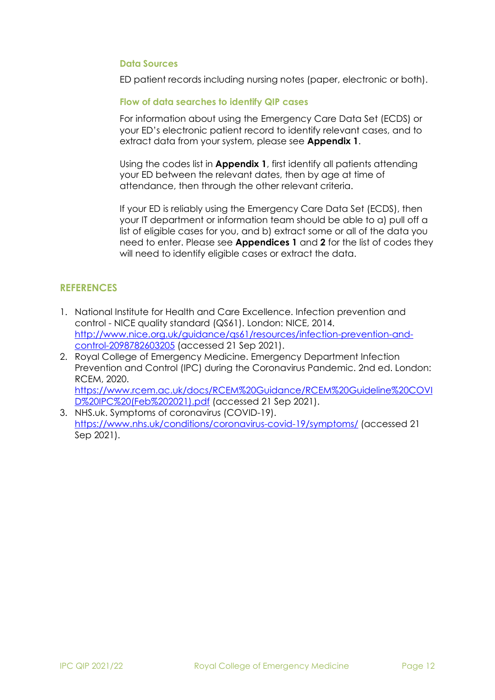#### <span id="page-11-1"></span>**Data Sources**

ED patient records including nursing notes (paper, electronic or both).

#### <span id="page-11-2"></span>**Flow of data searches to identify QIP cases**

For information about using the Emergency Care Data Set (ECDS) or your ED's electronic patient record to identify relevant cases, and to extract data from your system, please see **Appendix 1**.

Using the codes list in **Appendix 1**, first identify all patients attending your ED between the relevant dates, then by age at time of attendance, then through the other relevant criteria.

If your ED is reliably using the Emergency Care Data Set (ECDS), then your IT department or information team should be able to a) pull off a list of eligible cases for you, and b) extract some or all of the data you need to enter. Please see **Appendices 1** and **2** for the list of codes they will need to identify eligible cases or extract the data.

## <span id="page-11-0"></span>**REFERENCES**

- 1. National Institute for Health and Care Excellence. Infection prevention and control - NICE quality standard (QS61). London: NICE, 2014. [http://www.nice.org.uk/guidance/qs61/resources/infection-prevention-and](http://www.nice.org.uk/guidance/qs61/resources/infection-prevention-and-control-2098782603205)[control-2098782603205](http://www.nice.org.uk/guidance/qs61/resources/infection-prevention-and-control-2098782603205) (accessed 21 Sep 2021).
- 2. Royal College of Emergency Medicine. Emergency Department Infection Prevention and Control (IPC) during the Coronavirus Pandemic. 2nd ed. London: RCEM, 2020. [https://www.rcem.ac.uk/docs/RCEM%20Guidance/RCEM%20Guideline%20COVI](https://www.rcem.ac.uk/docs/RCEM%20Guidance/RCEM%20Guideline%20COVID%20IPC%20(Feb%202021).pdf) [D%20IPC%20\(Feb%202021\).pdf](https://www.rcem.ac.uk/docs/RCEM%20Guidance/RCEM%20Guideline%20COVID%20IPC%20(Feb%202021).pdf) (accessed 21 Sep 2021).
- 3. NHS.uk. Symptoms of coronavirus (COVID-19). <https://www.nhs.uk/conditions/coronavirus-covid-19/symptoms/> (accessed 21 Sep 2021).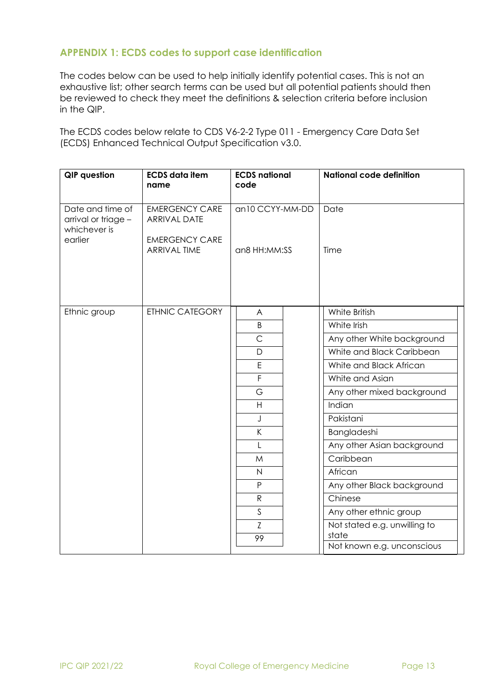## <span id="page-12-0"></span>**APPENDIX 1: ECDS codes to support case identification**

The codes below can be used to help initially identify potential cases. This is not an exhaustive list; other search terms can be used but all potential patients should then be reviewed to check they meet the definitions & selection criteria before inclusion in the QIP.

The ECDS codes below relate to CDS V6-2-2 Type 011 - Emergency Care Data Set (ECDS) Enhanced Technical Output Specification v3.0.

| <b>QIP</b> question                                                | <b>ECDS</b> data item<br>name                                                                | <b>ECDS</b> national<br>code    | <b>National code definition</b>       |
|--------------------------------------------------------------------|----------------------------------------------------------------------------------------------|---------------------------------|---------------------------------------|
| Date and time of<br>arrival or triage -<br>whichever is<br>earlier | <b>EMERGENCY CARE</b><br><b>ARRIVAL DATE</b><br><b>EMERGENCY CARE</b><br><b>ARRIVAL TIME</b> | an10 CCYY-MM-DD<br>an8 HH:MM:SS | Date<br>Time                          |
| Ethnic group                                                       | <b>ETHNIC CATEGORY</b>                                                                       | A<br>B                          | White British<br>White Irish          |
|                                                                    |                                                                                              | $\mathsf{C}$                    | Any other White background            |
|                                                                    |                                                                                              | D                               | White and Black Caribbean             |
|                                                                    |                                                                                              | $\mathsf E$                     | White and Black African               |
|                                                                    |                                                                                              | $\overline{F}$                  | White and Asian                       |
|                                                                    |                                                                                              | G                               | Any other mixed background            |
|                                                                    |                                                                                              | H                               | Indian                                |
|                                                                    |                                                                                              | J                               | Pakistani                             |
|                                                                    |                                                                                              | $\mathsf{K}$                    | Bangladeshi                           |
|                                                                    |                                                                                              | $\mathsf{L}$                    | Any other Asian background            |
|                                                                    |                                                                                              | M                               | Caribbean                             |
|                                                                    |                                                                                              | $\overline{N}$                  | African                               |
|                                                                    |                                                                                              | P                               | Any other Black background            |
|                                                                    |                                                                                              | ${\sf R}$                       | Chinese                               |
|                                                                    |                                                                                              | S                               | Any other ethnic group                |
|                                                                    |                                                                                              | Z<br>99                         | Not stated e.g. unwilling to<br>state |
|                                                                    |                                                                                              |                                 | Not known e.g. unconscious            |